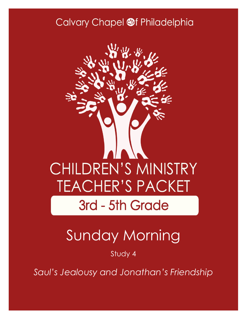### Calvary Chapel @f Philadelphia



# Sunday Morning

Study 4

*Saul's Jealousy and Jonathan's Friendship*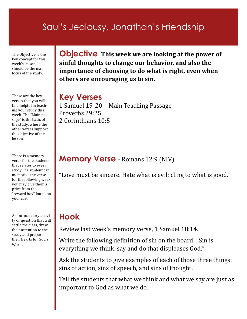### Saul's Jealousy, Jonathan's Friendship

The Objective is the key concept for this week's lesson. It should be the main focus of the study.

These are the key verses that you will find helpful in teaching your study this week. The "Main passage" is the basis of the study, where the other verses support the objective of the lesson.

There is a memory verse for the students that relates to every study. If a student can memorize the verse for the following week you may give them a prize from the "reward box" found on your cart.

An introductory activity or question that will settle the class, draw their attention to the study and prepare their hearts for God's Word.

**Objective This week we are looking at the power of sinful thoughts to change our behavior, and also the importance of choosing to do what is right, even when others are encouraging us to sin.**

#### **Key Verses**

1 Samuel 19-20—Main Teaching Passage Proverbs 29:25 2 Corinthians 10:5

#### **Memory Verse** - Romans 12:9 (NIV)

"Love must be sincere. Hate what is evil; cling to what is good."

### **Hook**

Review last week's memory verse, 1 Samuel 18:14.

Write the following definition of sin on the board: "Sin is everything we think, say and do that displeases God."

Ask the students to give examples of each of those three things: sins of action, sins of speech, and sins of thought.

Tell the students that what we think and what we say are just as important to God as what we do.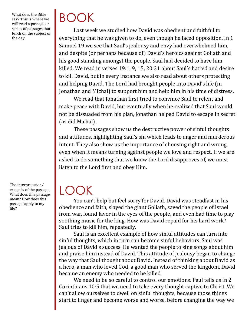What does the Bible say? This is where we will read a passage or series of passages that teach on the subject of the day.

The interpretation/ exegesis of the passage. What does this passage mean? How does this passage apply to my life?

# BOOK

Last week we studied how David was obedient and faithful to everything that he was given to do, even though he faced opposition. In 1 Samuel 19 we see that Saul's jealousy and envy had overwhelmed him, and despite (or perhaps because of) David's heroics against Goliath and his good standing amongst the people, Saul had decided to have him killed. We read in verses 19:1, 9, 15, 20:31 about Saul's hatred and desire to kill David, but in every instance we also read about others protecting and helping David. The Lord had brought people into David's life (in Jonathan and Michal) to support him and help him in his time of distress.

We read that Jonathan first tried to convince Saul to relent and make peace with David, but eventually when he realized that Saul would not be dissuaded from his plan, Jonathan helped David to escape in secret (as did Michal).

These passages show us the destructive power of sinful thoughts and attitudes, highlighting Saul's sin which leads to anger and murderous intent. They also show us the importance of choosing right and wrong, even when it means turning against people we love and respect. If we are asked to do something that we know the Lord disapproves of, we must listen to the Lord first and obey Him.

## LOOK

You can't help but feel sorry for David. David was steadfast in his obedience and faith, slayed the giant Goliath, saved the people of Israel from war, found favor in the eyes of the people, and even had time to play soothing music for the king. How was David repaid for his hard work? Saul tries to kill him, repeatedly.

Saul is an excellent example of how sinful attitudes can turn into sinful thoughts, which in turn can become sinful behaviors. Saul was jealous of David's success. He wanted the people to sing songs about him and praise him instead of David. This attitude of jealousy began to change the way that Saul thought about David. Instead of thinking about David as a hero, a man who loved God, a good man who served the kingdom, David became an enemy who needed to be killed.

We need to be so careful to control our emotions. Paul tells us in 2 Corinthians 10:5 that we need to take every thought captive to Christ. We can't allow ourselves to dwell on sinful thoughts, because those things start to linger and become worse and worse, before changing the way we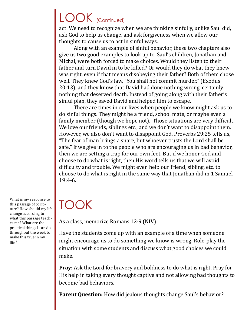## LOOK (Continued)

act. We need to recognize when we are thinking sinfully, unlike Saul did, ask God to help us change, and ask forgiveness when we allow our thoughts to cause us to act in sinful ways.

Along with an example of sinful behavior, these two chapters also give us two good examples to look up to. Saul's children, Jonathan and Michal, were both forced to make choices. Would they listen to their father and turn David in to be killed? Or would they do what they knew was right, even if that means disobeying their father? Both of them chose well. They knew God's law, "You shall not commit murder," (Exodus 20:13), and they know that David had done nothing wrong, certainly nothing that deserved death. Instead of going along with their father's sinful plan, they saved David and helped him to escape.

There are times in our lives when people we know might ask us to do sinful things. They might be a friend, school mate, or maybe even a family member (though we hope not). Those situations are very difficult. We love our friends, siblings etc., and we don't want to disappoint them. However, we also don't want to disappoint God. Proverbs 29:25 tells us, "The fear of man brings a snare, but whoever trusts the Lord shall be safe." If we give in to the people who are encouraging us in bad behavior, then we are setting a trap for our own feet. But if we honor God and choose to do what is right, then His word tells us that we will avoid difficulty and trouble. We might even help our friend, sibling, etc. to choose to do what is right in the same way that Jonathan did in 1 Samuel 19:4-6.

## TOOK

As a class, memorize Romans 12:9 (NIV).

Have the students come up with an example of a time when someone might encourage us to do something we know is wrong. Role-play the situation with some students and discuss what good choices we could make.

**Pray:** Ask the Lord for bravery and boldness to do what is right. Pray for His help in taking every thought captive and not allowing bad thoughts to become bad behaviors.

**Parent Question:** How did jealous thoughts change Saul's behavior?

What is my response to this passage of Scripture? How should my life change according to what this passage teaches me? What are the practical things I can do throughout the week to make this true in my life?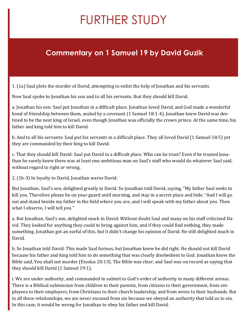# FURTHER STUDY

#### **Commentary on 1 Samuel 19 by David Guzik**

1. (1a) Saul plots the murder of David, attempting to enlist the help of Jonathan and his servants.

Now Saul spoke to Jonathan his son and to all his servants, that they should kill David.

a. Jonathan his son: Saul put Jonathan in a difficult place. Jonathan loved David, and God made a wonderful bond of friendship between them, sealed by a covenant (1 Samuel 18:1-4). Jonathan knew David was destined to be the next king of Israel, even though Jonathan was officially the crown prince. At the same time, his father and king told him to kill David.

b. And to all his servants: Saul put his servants in a difficult place. They all loved David (1 Samuel 18:5) yet they are commanded by their king to kill David.

c. That they should kill David: Saul put David in a difficult place. Who can he trust? Even if he trusted Jonathan he surely knew there was at least one ambitious man on Saul's staff who would do whatever Saul said, without regard to right or wrong.

2. (1b-3) In loyalty to David, Jonathan warns David.

But Jonathan, Saul's son, delighted greatly in David. So Jonathan told David, saying, "My father Saul seeks to kill you. Therefore please be on your guard until morning, and stay in a secret place and hide. "And I will go out and stand beside my father in the field where you are, and I will speak with my father about you. Then what I observe, I will tell you."

a. But Jonathan, Saul's son, delighted much in David: Without doubt Saul and many on his staff criticized David. They looked for anything they could to bring against him, and if they could find nothing, they made something. Jonathan got an earful of this, but it didn't change his opinion of David. He still delighted much in David.

b. So Jonathan told David: This made Saul furious, but Jonathan knew he did right. He should not kill David because his father and king told him to do something that was clearly disobedient to God. Jonathan knew the Bible said, You shall not murder (Exodus 20:13). The Bible was clear, and Saul was on record as saying that they should kill David (1 Samuel 19:1).

i. We are under authority, and commanded to submit to God's order of authority in many different arenas. There is a Biblical submission from children to their parents, from citizens to their government, from employees to their employers, from Christians to their church leadership, and from wives to their husbands. But in all these relationships, we are never excused from sin because we obeyed an authority that told us to sin. In this case, it would be wrong for Jonathan to obey his father and kill David.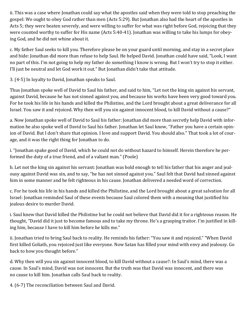ii. This was a case where Jonathan could say what the apostles said when they were told to stop preaching the gospel: We ought to obey God rather than men (Acts 5:29). But Jonathan also had the heart of the apostles in Acts 5; they were beaten severely, and were willing to suffer for what was right before God, rejoicing that they were counted worthy to suffer for His name (Acts 5:40-41). Jonathan was willing to take his lumps for obeying God, and he did not whine about it.

c. My father Saul seeks to kill you. Therefore please be on your guard until morning, and stay in a secret place and hide: Jonathan did more than refuse to help Saul. He helped David. Jonathan could have said, "Look, I want no part of this. I'm not going to help my father do something I know is wrong. But I won't try to stop it either. I'll just be neutral and let God work it out." But Jonathan didn't take that attitude.

3. (4-5) In loyalty to David, Jonathan speaks to Saul.

Thus Jonathan spoke well of David to Saul his father, and said to him, "Let not the king sin against his servant, against David, because he has not sinned against you, and because his works have been very good toward you. For he took his life in his hands and killed the Philistine, and the Lord brought about a great deliverance for all Israel. You saw it and rejoiced. Why then will you sin against innocent blood, to kill David without a cause?"

a. Now Jonathan spoke well of David to Saul his father: Jonathan did more than secretly help David with information he also spoke well of David to Saul his father. Jonathan let Saul know, "Father you have a certain opinion of David. But I don't share that opinion. I love and support David. You should also." That took a lot of courage, and it was the right thing for Jonathan to do.

i. "Jonathan spake good of David, which he could not do without hazard to himself. Herein therefore he performed the duty of a true friend, and of a valiant man." (Poole)

b. Let not the king sin against his servant: Jonathan was bold enough to tell his father that his anger and jealousy against David was sin, and to say, "he has not sinned against you." Saul felt that David had sinned against him in some manner and he felt righteous in his cause. Jonathan delivered a needed word of correction.

c. For he took his life in his hands and killed the Philistine, and the Lord brought about a great salvation for all Israel: Jonathan reminded Saul of these events because Saul colored them with a meaning that justified his jealous desire to murder David.

i. Saul knew that David killed the Philistine but he could not believe that David did it for a righteous reason. He thought, "David did it just to become famous and to take my throne. He's a grasping traitor. I'm justified in killing him, because I have to kill him before he kills me."

ii. Jonathan tried to bring Saul back to reality. He reminds his father: "You saw it and rejoiced." "When David first killed Goliath, you rejoiced just like everyone. Now Satan has filled your mind with envy and jealousy. Go back to how you thought before."

d. Why then will you sin against innocent blood, to kill David without a cause?: In Saul's mind, there was a cause. In Saul's mind, David was not innocent. But the truth was that David was innocent, and there was no cause to kill him. Jonathan calls Saul back to reality.

4. (6-7) The reconciliation between Saul and David.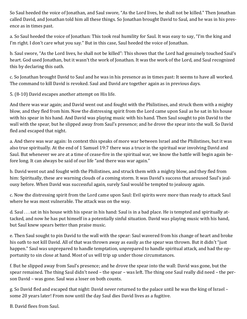So Saul heeded the voice of Jonathan, and Saul swore, "As the Lord lives, he shall not be killed." Then Jonathan called David, and Jonathan told him all these things. So Jonathan brought David to Saul, and he was in his presence as in times past.

a. So Saul heeded the voice of Jonathan: This took real humility for Saul. It was easy to say, "I'm the king and I'm right. I don't care what you say." But in this case, Saul heeded the voice of Jonathan.

b. Saul swore, "As the Lord lives, he shall not be killed": This shows that the Lord had genuinely touched Saul's heart. God used Jonathan, but it wasn't the work of Jonathan. It was the work of the Lord, and Saul recognized this by declaring this oath.

c. So Jonathan brought David to Saul and he was in his presence as in times past: It seems to have all worked. The command to kill David is revoked. Saul and David are together again as in previous days.

5. (8-10) David escapes another attempt on His life.

And there was war again; and David went out and fought with the Philistines, and struck them with a mighty blow, and they fled from him. Now the distressing spirit from the Lord came upon Saul as he sat in his house with his spear in his hand. And David was playing music with his hand. Then Saul sought to pin David to the wall with the spear, but he slipped away from Saul's presence; and he drove the spear into the wall. So David fled and escaped that night.

a. And there was war again: In context this speaks of more war between Israel and the Philistines, but it was also true spiritually. At the end of 1 Samuel 19:7 there was a truce in the spiritual war involving David and Saul. But whenever we are at a time of cease-fire in the spiritual war, we know the battle will begin again before long. It can always be said of our life "and there was war again."

b. David went out and fought with the Philistines, and struck them with a mighty blow, and they fled from him: Spiritually, these are warning clouds of a coming storm. It was David's success that aroused Saul's jealousy before. When David was successful again, surely Saul would be tempted to jealousy again.

c. Now the distressing spirit from the Lord came upon Saul: Evil spirits were more than ready to attack Saul where he was most vulnerable. The attack was on the way.

d. Saul . . . sat in his house with his spear in his hand: Saul is in a bad place. He is tempted and spiritually attacked, and now he has put himself in a potentially sinful situation. David was playing music with his hand, but Saul knew spears better than praise music.

e. Then Saul sought to pin David to the wall with the spear: Saul wavered from his change of heart and broke his oath to not kill David. All of that was thrown away as easily as the spear was thrown. But it didn't "just happen." Saul was unprepared to handle temptation, unprepared to handle spiritual attack, and had the opportunity to sin close at hand. Most of us will trip up under those circumstances.

f. But he slipped away from Saul's presence; and he drove the spear into the wall: David was gone, but the spear remained. The thing Saul didn't need – the spear – was left. The thing one Saul really did need – the person David – was gone. Saul was a loser on both counts.

g. So David fled and escaped that night: David never returned to the palace until he was the king of Israel – some 20 years later! From now until the day Saul dies David lives as a fugitive.

B. David flees from Saul.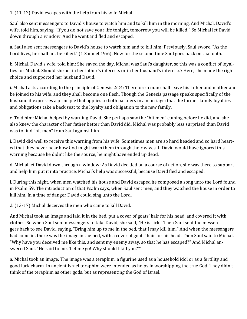1. (11-12) David escapes with the help from his wife Michal.

Saul also sent messengers to David's house to watch him and to kill him in the morning. And Michal, David's wife, told him, saying, "If you do not save your life tonight, tomorrow you will be killed." So Michal let David down through a window. And he went and fled and escaped.

a. Saul also sent messengers to David's house to watch him and to kill him: Previously, Saul swore, "As the Lord lives, he shall not be killed." (1 Samuel 19:6). Now for the second time Saul goes back on that oath.

b. Michal, David's wife, told him: She saved the day. Michal was Saul's daughter, so this was a conflict of loyalties for Michal. Should she act in her father's interests or in her husband's interests? Here, she made the right choice and supported her husband David.

i. Michal acts according to the principle of Genesis 2:24: Therefore a man shall leave his father and mother and be joined to his wife, and they shall become one flesh. Though the Genesis passage speaks specifically of the husband it expresses a principle that applies to both partners in a marriage: that the former family loyalties and obligations take a back seat to the loyalty and obligation to the new family.

c. Told him: Michal helped by warning David. She perhaps saw the "hit men" coming before he did, and she also knew the character of her father better than David did. Michal was probably less surprised than David was to find "hit men" from Saul against him.

i. David did well to receive this warning from his wife. Sometimes men are so hard headed and so hard hearted that they never hear how God might warn them through their wives. If David would have ignored this warning because he didn't like the source, he might have ended up dead.

d. Michal let David down through a window: As David decided on a course of action, she was there to support and help him put it into practice. Michal's help was successful, because David fled and escaped.

i. During this night, when men watched his house and David escaped he composed a song unto the Lord found in Psalm 59. The introduction of that Psalm says, when Saul sent men, and they watched the house in order to kill him. In a time of danger David could sing unto the Lord.

2. (13-17) Michal deceives the men who came to kill David.

And Michal took an image and laid it in the bed, put a cover of goats' hair for his head, and covered it with clothes. So when Saul sent messengers to take David, she said, "He is sick." Then Saul sent the messengers back to see David, saying, "Bring him up to me in the bed, that I may kill him." And when the messengers had come in, there was the image in the bed, with a cover of goats' hair for his head. Then Saul said to Michal, "Why have you deceived me like this, and sent my enemy away, so that he has escaped?" And Michal answered Saul, "He said to me, 'Let me go! Why should I kill you?'"

a. Michal took an image: The image was a teraphim, a figurine used as a household idol or as a fertility and good luck charm. In ancient Israel teraphim were intended as helps in worshipping the true God. They didn't think of the teraphim as other gods, but as representing the God of Israel.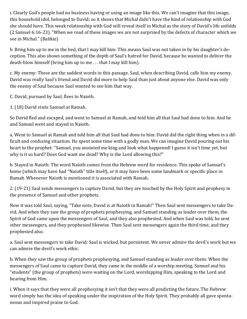i. Clearly God's people had no business having or using an image like this. We can't imagine that this image, this household idol, belonged to David; so it shows that Michal didn't have the kind of relationship with God she should have. This weak relationship with God will reveal itself in Michal as the story of David's life unfolds (2 Samuel 6:16-23). "When we read of these images we are not surprised by the defects of character which we see in Michal." (Balikie)

b. Bring him up to me in the bed, that I may kill him: This means Saul was not taken in by his daughter's deception. This also shows something of the depth of Saul's hatred for David, because he wanted to deliver the death-blow himself (bring him up to me . . . that I may kill him).

c. My enemy: These are the saddest words in this passage. Saul, when describing David, calls him my enemy. David was really Saul's friend and David did more to help Saul than just about anyone else. David was only the enemy of Saul because Saul wanted to see him that way.

C. David, pursued by Saul, flees to Naioth.

1. (18) David visits Samuel at Ramah.

So David fled and escaped, and went to Samuel at Ramah, and told him all that Saul had done to him. And he and Samuel went and stayed in Naioth.

a. Went to Samuel at Ramah and told him all that Saul had done to him: David did the right thing when in a difficult and confusing situation. He spent some time with a godly man. We can imagine David pouring out his heart to the prophet: "Samuel, you anointed me king and look what happened! I guess it isn't time yet, but why is it so hard? Does God want me dead? Why is the Lord allowing this?"

b. Stayed in Naioth: The word Naioth comes from the Hebrew word for residence. This spoke of Samuel's home (which may have had "Naioth" title itself), or it may have been some landmark or specific place in Ramah. Whenever Naioth is mentioned it is associated with Ramah.

2. (19-21) Saul sends messengers to capture David, but they are touched by the Holy Spirit and prophesy in the presence of Samuel and other prophets.

Now it was told Saul, saying, "Take note, David is at Naioth in Ramah!" Then Saul sent messengers to take David. And when they saw the group of prophets prophesying, and Samuel standing as leader over them, the Spirit of God came upon the messengers of Saul, and they also prophesied. And when Saul was told, he sent other messengers, and they prophesied likewise. Then Saul sent messengers again the third time, and they prophesied also.

a. Saul sent messengers to take David: Saul is wicked, but persistent. We never admire the devil's work but we can admire the devil's work ethic.

b. When they saw the group of prophets prophesying, and Samuel standing as leader over them: When the messengers of Saul came to capture David, they came in the middle of a worship meeting. Samuel and his "students" (the group of prophets) were waiting on the Lord, worshipping Him, speaking to the Lord and hearing from Him.

i. When it says that they were all prophesying it isn't that they were all predicting the future. The Hebrew word simply has the idea of speaking under the inspiration of the Holy Spirit. They probably all gave spontaneous and inspired praise to God.